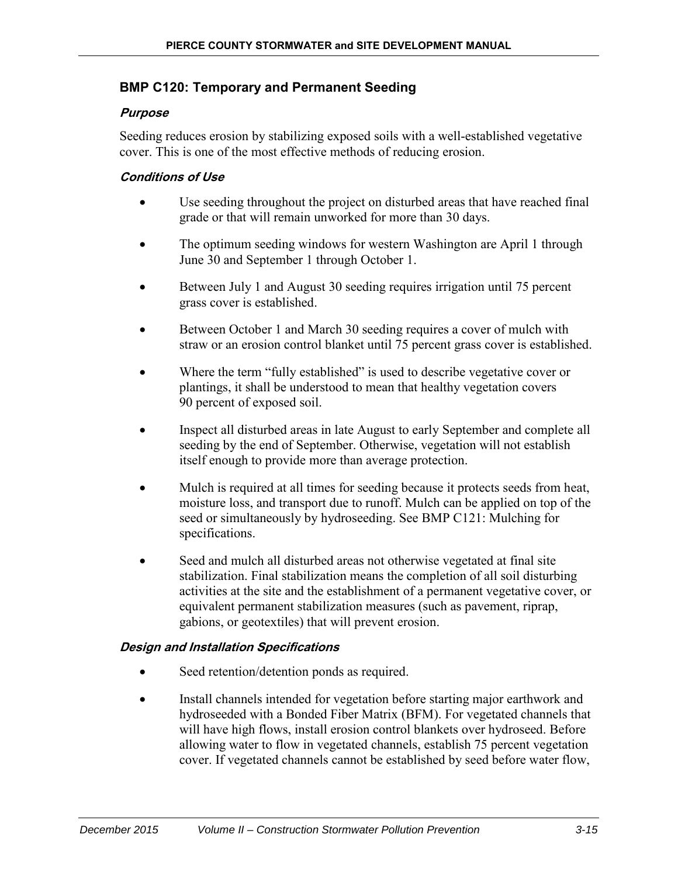## **BMP C120: Temporary and Permanent Seeding**

### **Purpose**

Seeding reduces erosion by stabilizing exposed soils with a well-established vegetative cover. This is one of the most effective methods of reducing erosion.

### **Conditions of Use**

- Use seeding throughout the project on disturbed areas that have reached final grade or that will remain unworked for more than 30 days.
- The optimum seeding windows for western Washington are April 1 through June 30 and September 1 through October 1.
- Between July 1 and August 30 seeding requires irrigation until 75 percent grass cover is established.
- Between October 1 and March 30 seeding requires a cover of mulch with straw or an erosion control blanket until 75 percent grass cover is established.
- Where the term "fully established" is used to describe vegetative cover or plantings, it shall be understood to mean that healthy vegetation covers 90 percent of exposed soil.
- Inspect all disturbed areas in late August to early September and complete all seeding by the end of September. Otherwise, vegetation will not establish itself enough to provide more than average protection.
- Mulch is required at all times for seeding because it protects seeds from heat, moisture loss, and transport due to runoff. Mulch can be applied on top of the seed or simultaneously by hydroseeding. See [BMP C121: Mulching](#page-437-0) for specifications.
- Seed and mulch all disturbed areas not otherwise vegetated at final site stabilization. Final stabilization means the completion of all soil disturbing activities at the site and the establishment of a permanent vegetative cover, or equivalent permanent stabilization measures (such as pavement, riprap, gabions, or geotextiles) that will prevent erosion.

## **Design and Installation Specifications**

- Seed retention/detention ponds as required.
- Install channels intended for vegetation before starting major earthwork and hydroseeded with a Bonded Fiber Matrix (BFM). For vegetated channels that will have high flows, install erosion control blankets over hydroseed. Before allowing water to flow in vegetated channels, establish 75 percent vegetation cover. If vegetated channels cannot be established by seed before water flow,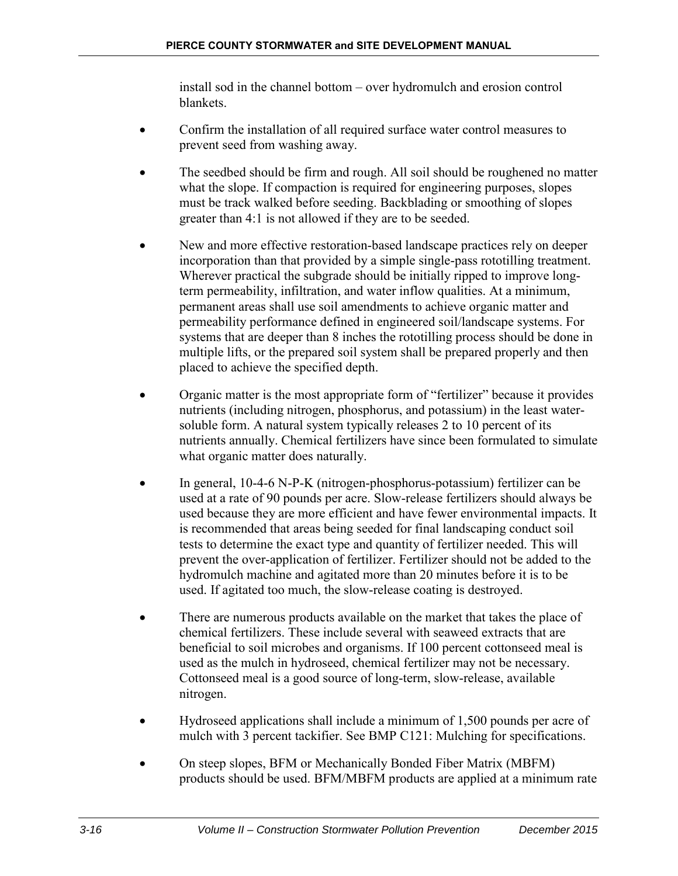install sod in the channel bottom – over hydromulch and erosion control blankets.

- Confirm the installation of all required surface water control measures to prevent seed from washing away.
- The seedbed should be firm and rough. All soil should be roughened no matter what the slope. If compaction is required for engineering purposes, slopes must be track walked before seeding. Backblading or smoothing of slopes greater than 4:1 is not allowed if they are to be seeded.
- New and more effective restoration-based landscape practices rely on deeper incorporation than that provided by a simple single-pass rototilling treatment. Wherever practical the subgrade should be initially ripped to improve longterm permeability, infiltration, and water inflow qualities. At a minimum, permanent areas shall use soil amendments to achieve organic matter and permeability performance defined in engineered soil/landscape systems. For systems that are deeper than 8 inches the rototilling process should be done in multiple lifts, or the prepared soil system shall be prepared properly and then placed to achieve the specified depth.
- Organic matter is the most appropriate form of "fertilizer" because it provides nutrients (including nitrogen, phosphorus, and potassium) in the least watersoluble form. A natural system typically releases 2 to 10 percent of its nutrients annually. Chemical fertilizers have since been formulated to simulate what organic matter does naturally.
- In general, 10-4-6 N-P-K (nitrogen-phosphorus-potassium) fertilizer can be used at a rate of 90 pounds per acre. Slow-release fertilizers should always be used because they are more efficient and have fewer environmental impacts. It is recommended that areas being seeded for final landscaping conduct soil tests to determine the exact type and quantity of fertilizer needed. This will prevent the over-application of fertilizer. Fertilizer should not be added to the hydromulch machine and agitated more than 20 minutes before it is to be used. If agitated too much, the slow-release coating is destroyed.
- There are numerous products available on the market that takes the place of chemical fertilizers. These include several with seaweed extracts that are beneficial to soil microbes and organisms. If 100 percent cottonseed meal is used as the mulch in hydroseed, chemical fertilizer may not be necessary. Cottonseed meal is a good source of long-term, slow-release, available nitrogen.
- Hydroseed applications shall include a minimum of 1,500 pounds per acre of mulch with 3 percent tackifier. See [BMP C121: Mulching](#page-437-0) for specifications.
- On steep slopes, BFM or Mechanically Bonded Fiber Matrix (MBFM) products should be used. BFM/MBFM products are applied at a minimum rate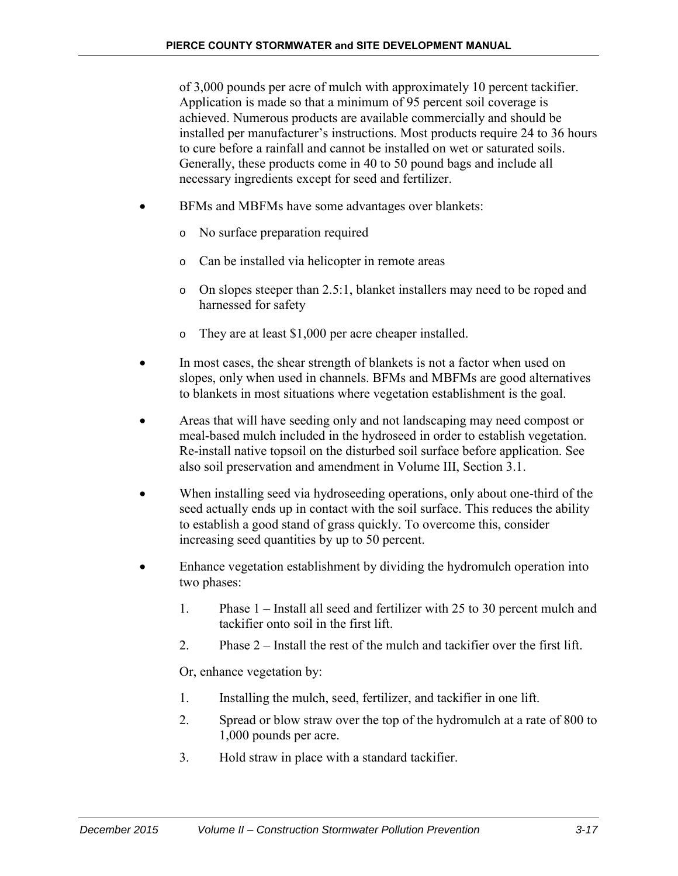of 3,000 pounds per acre of mulch with approximately 10 percent tackifier. Application is made so that a minimum of 95 percent soil coverage is achieved. Numerous products are available commercially and should be installed per manufacturer's instructions. Most products require 24 to 36 hours to cure before a rainfall and cannot be installed on wet or saturated soils. Generally, these products come in 40 to 50 pound bags and include all necessary ingredients except for seed and fertilizer.

- BFMs and MBFMs have some advantages over blankets:
	- o No surface preparation required
	- o Can be installed via helicopter in remote areas
	- o On slopes steeper than 2.5:1, blanket installers may need to be roped and harnessed for safety
	- o They are at least \$1,000 per acre cheaper installed.
- In most cases, the shear strength of blankets is not a factor when used on slopes, only when used in channels. BFMs and MBFMs are good alternatives to blankets in most situations where vegetation establishment is the goal.
- Areas that will have seeding only and not landscaping may need compost or meal-based mulch included in the hydroseed in order to establish vegetation. Re-install native topsoil on the disturbed soil surface before application. See also soil preservation and amendment in Volume III, Section 3.1.
- When installing seed via hydroseeding operations, only about one-third of the seed actually ends up in contact with the soil surface. This reduces the ability to establish a good stand of grass quickly. To overcome this, consider increasing seed quantities by up to 50 percent.
- Enhance vegetation establishment by dividing the hydromulch operation into two phases:
	- 1. Phase 1 Install all seed and fertilizer with 25 to 30 percent mulch and tackifier onto soil in the first lift.
	- 2. Phase 2 Install the rest of the mulch and tackifier over the first lift.

Or, enhance vegetation by:

- 1. Installing the mulch, seed, fertilizer, and tackifier in one lift.
- 2. Spread or blow straw over the top of the hydromulch at a rate of 800 to 1,000 pounds per acre.
- 3. Hold straw in place with a standard tackifier.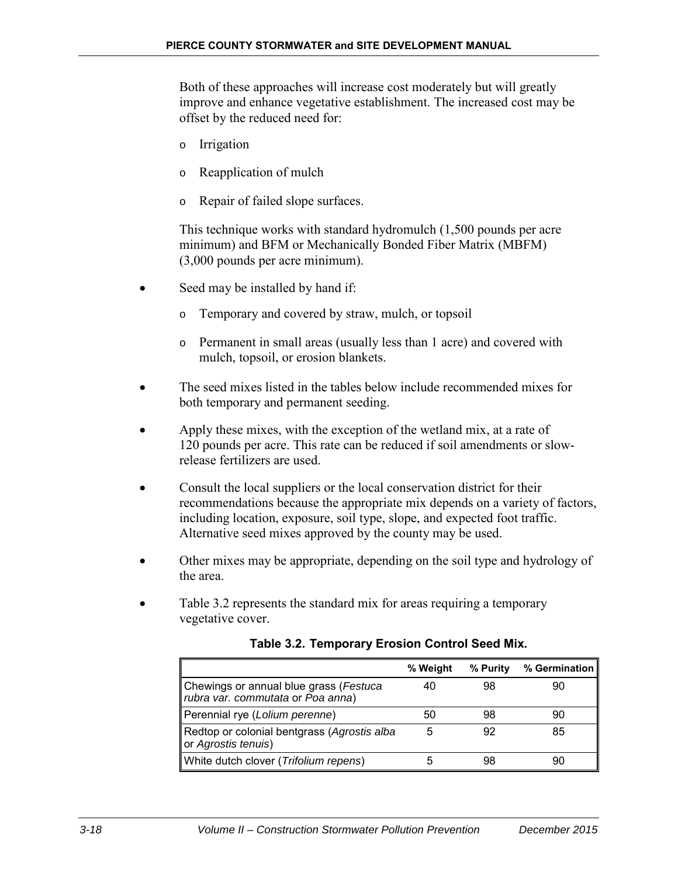Both of these approaches will increase cost moderately but will greatly improve and enhance vegetative establishment. The increased cost may be offset by the reduced need for:

- o Irrigation
- o Reapplication of mulch
- o Repair of failed slope surfaces.

This technique works with standard hydromulch (1,500 pounds per acre minimum) and BFM or Mechanically Bonded Fiber Matrix (MBFM) (3,000 pounds per acre minimum).

- Seed may be installed by hand if:
	- o Temporary and covered by straw, mulch, or topsoil
	- o Permanent in small areas (usually less than 1 acre) and covered with mulch, topsoil, or erosion blankets.
- The seed mixes listed in the tables below include recommended mixes for both temporary and permanent seeding.
- Apply these mixes, with the exception of the wetland mix, at a rate of 120 pounds per acre. This rate can be reduced if soil amendments or slowrelease fertilizers are used.
- Consult the local suppliers or the local conservation district for their recommendations because the appropriate mix depends on a variety of factors, including location, exposure, soil type, slope, and expected foot traffic. Alternative seed mixes approved by the county may be used.
- Other mixes may be appropriate, depending on the soil type and hydrology of the area.
- Table 3.2 represents the standard mix for areas requiring a temporary vegetative cover.

|                                                                             | % Weight | % Purity | % Germination |
|-----------------------------------------------------------------------------|----------|----------|---------------|
| Chewings or annual blue grass (Festuca<br>rubra var. commutata or Poa anna) | 40       | 98       | 90            |
| Perennial rye (Lolium perenne)                                              | 50       | 98       | 90            |
| Redtop or colonial bentgrass (Agrostis alba<br>or Agrostis tenuis)          | 5        | 92       | 85            |
| White dutch clover (Trifolium repens)                                       |          | 98       | 90            |

**Table 3.2. Temporary Erosion Control Seed Mix.**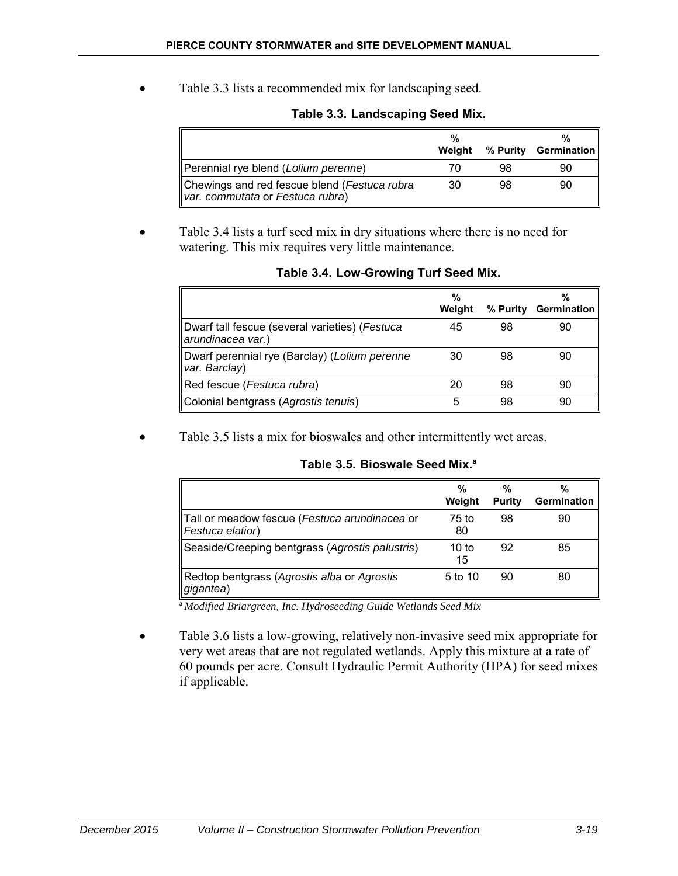• Table 3.3 lists a recommended mix for landscaping seed.

|                                                                                  | %<br>Weight |    | %<br>% Purity Germination |
|----------------------------------------------------------------------------------|-------------|----|---------------------------|
| Perennial rye blend (Lolium perenne)                                             | 70          | 98 | 90                        |
| Chewings and red fescue blend (Festuca rubra<br>var. commutata or Festuca rubra) | 30          | 98 | 90                        |

### **Table 3.3. Landscaping Seed Mix.**

• Table 3.4 lists a turf seed mix in dry situations where there is no need for watering. This mix requires very little maintenance.

|                                                                     | %      |          | %                  |
|---------------------------------------------------------------------|--------|----------|--------------------|
|                                                                     | Weight | % Purity | <b>Germination</b> |
| Dwarf tall fescue (several varieties) (Festuca<br>arundinacea var.) | 45     | 98       | 90                 |
| Dwarf perennial rye (Barclay) (Lolium perenne<br>var. Barclay)      | 30     | 98       | 90                 |
| Red fescue (Festuca rubra)                                          | 20     | 98       | 90                 |
| Colonial bentgrass (Agrostis tenuis)                                | 5      | 98       | 90                 |

#### **Table 3.4. Low-Growing Turf Seed Mix.**

Table 3.5 lists a mix for bioswales and other intermittently wet areas.

|                                                                               | %<br>Weight | %<br>Purity | %<br><b>Germination</b> |
|-------------------------------------------------------------------------------|-------------|-------------|-------------------------|
| Tall or meadow fescue (Festuca arundinacea or<br>$\parallel$ Festuca elatior) | 75 to<br>80 | 98          | 90                      |
| Seaside/Creeping bentgrass (Agrostis palustris)                               | 10 to<br>15 | 92          | 85                      |
| Redtop bentgrass (Agrostis alba or Agrostis<br>gigantea)                      | 5 to 10     | 90          | 80                      |

#### **Table 3.5. Bioswale Seed Mix.a**

<sup>a</sup>*Modified Briargreen, Inc. Hydroseeding Guide Wetlands Seed Mix*

• Table 3.6 lists a low-growing, relatively non-invasive seed mix appropriate for very wet areas that are not regulated wetlands. Apply this mixture at a rate of 60 pounds per acre. Consult Hydraulic Permit Authority (HPA) for seed mixes if applicable.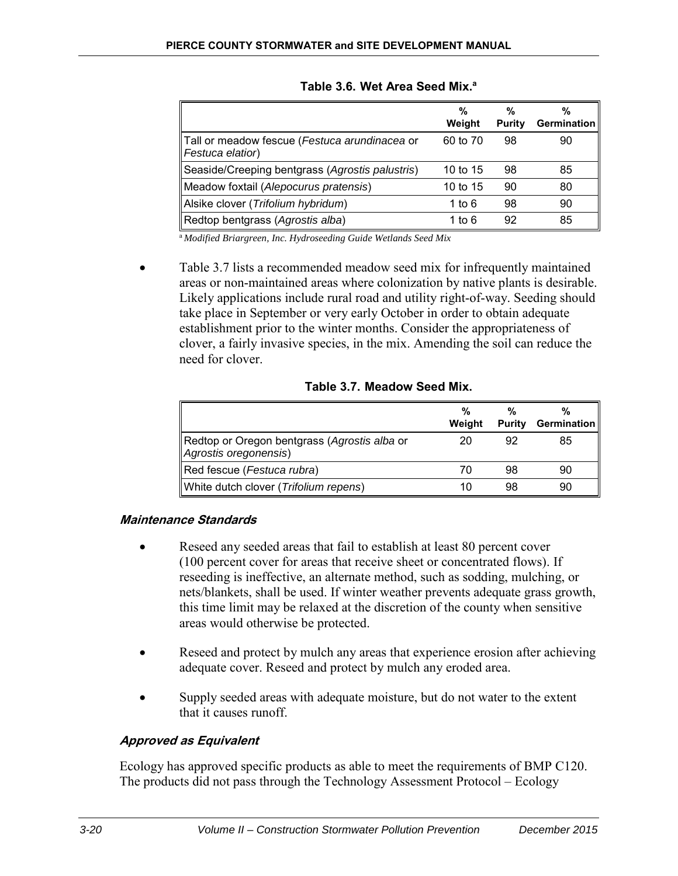|                                                                               | %<br>Weight | %<br>Purity | %<br><b>Germination</b> |
|-------------------------------------------------------------------------------|-------------|-------------|-------------------------|
| Tall or meadow fescue (Festuca arundinacea or<br>$\parallel$ Festuca elatior) | 60 to 70    | 98          | 90                      |
| Seaside/Creeping bentgrass (Agrostis palustris)                               | 10 to 15    | 98          | 85                      |
| Meadow foxtail (Alepocurus pratensis)                                         | 10 to 15    | 90          | 80                      |
| Alsike clover (Trifolium hybridum)                                            | 1 to 6      | 98          | 90                      |
| Redtop bentgrass (Agrostis alba)                                              | 1 to 6      | 92          | 85                      |

**Table 3.6. Wet Area Seed Mix.a**

<sup>a</sup>*Modified Briargreen, Inc. Hydroseeding Guide Wetlands Seed Mix*

• Table 3.7 lists a recommended meadow seed mix for infrequently maintained areas or non-maintained areas where colonization by native plants is desirable. Likely applications include rural road and utility right-of-way. Seeding should take place in September or very early October in order to obtain adequate establishment prior to the winter months. Consider the appropriateness of clover, a fairly invasive species, in the mix. Amending the soil can reduce the need for clover.

|                                                                       | %<br>Weight | <b>Purity</b> | %<br>Germination |
|-----------------------------------------------------------------------|-------------|---------------|------------------|
| Redtop or Oregon bentgrass (Agrostis alba or<br>Agrostis oregonensis) | 20          | 92            | 85               |
| Red fescue (Festuca rubra)                                            | 70          | 98            | 90               |
| White dutch clover (Trifolium repens)                                 | 10          |               | 90               |

**Table 3.7. Meadow Seed Mix.**

## **Maintenance Standards**

- Reseed any seeded areas that fail to establish at least 80 percent cover (100 percent cover for areas that receive sheet or concentrated flows). If reseeding is ineffective, an alternate method, such as sodding, mulching, or nets/blankets, shall be used. If winter weather prevents adequate grass growth, this time limit may be relaxed at the discretion of the county when sensitive areas would otherwise be protected.
- Reseed and protect by mulch any areas that experience erosion after achieving adequate cover. Reseed and protect by mulch any eroded area.
- Supply seeded areas with adequate moisture, but do not water to the extent that it causes runoff.

# **Approved as Equivalent**

Ecology has approved specific products as able to meet the requirements of BMP C120. The products did not pass through the Technology Assessment Protocol – Ecology